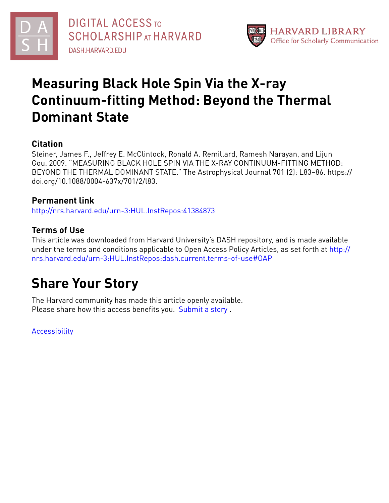



# **Measuring Black Hole Spin Via the X-ray Continuum-fitting Method: Beyond the Thermal Dominant State**

## **Citation**

Steiner, James F., Jeffrey E. McClintock, Ronald A. Remillard, Ramesh Narayan, and Lijun Gou. 2009. "MEASURING BLACK HOLE SPIN VIA THE X-RAY CONTINUUM-FITTING METHOD: BEYOND THE THERMAL DOMINANT STATE." The Astrophysical Journal 701 (2): L83–86. https:// doi.org/10.1088/0004-637x/701/2/l83.

## **Permanent link**

<http://nrs.harvard.edu/urn-3:HUL.InstRepos:41384873>

# **Terms of Use**

This article was downloaded from Harvard University's DASH repository, and is made available under the terms and conditions applicable to Open Access Policy Articles, as set forth at [http://](http://nrs.harvard.edu/urn-3:HUL.InstRepos:dash.current.terms-of-use#OAP) [nrs.harvard.edu/urn-3:HUL.InstRepos:dash.current.terms-of-use#OAP](http://nrs.harvard.edu/urn-3:HUL.InstRepos:dash.current.terms-of-use#OAP)

# **Share Your Story**

The Harvard community has made this article openly available. Please share how this access benefits you. [Submit](http://osc.hul.harvard.edu/dash/open-access-feedback?handle=&title=Measuring%20Black%20Hole%20Spin%20Via%20the%20X-ray%20Continuum-fitting%20Method:%20Beyond%20the%20Thermal%20Dominant%20State&community=1/1&collection=1/2&owningCollection1/2&harvardAuthors=d8f0ea1216fd40e7cb23868ceb4ab6c3&department) a story.

**[Accessibility](https://dash.harvard.edu/pages/accessibility)**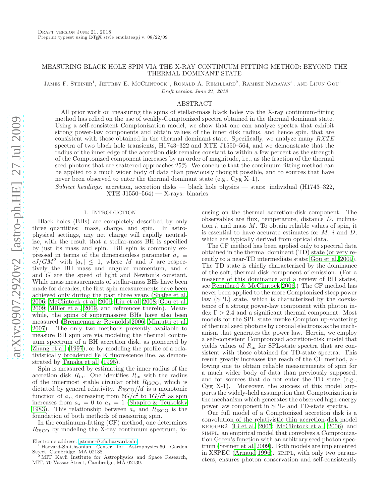## MEASURING BLACK HOLE SPIN VIA THE X-RAY CONTINUUM FITTING METHOD: BEYOND THE THERMAL DOMINANT STATE

JAMES F. STEINER<sup>1</sup>, JEFFREY E. MCCLINTOCK<sup>1</sup>, RONALD A. REMILLARD<sup>2</sup>, RAMESH NARAYAN<sup>1</sup>, AND LIJUN GOU<sup>1</sup> Draft version June 21, 2018

### ABSTRACT

All prior work on measuring the spins of stellar-mass black holes via the X-ray continuum-fitting method has relied on the use of weakly-Comptonized spectra obtained in the thermal dominant state. Using a self-consistent Comptonization model, we show that one can analyze spectra that exhibit strong power-law components and obtain values of the inner disk radius, and hence spin, that are consistent with those obtained in the thermal dominant state. Specifically, we analyze many RXTE spectra of two black hole transients, H1743–322 and XTE J1550–564, and we demonstrate that the radius of the inner edge of the accretion disk remains constant to within a few percent as the strength of the Comptonized component increases by an order of magnitude, i.e., as the fraction of the thermal seed photons that are scattered approaches 25%. We conclude that the continuum-fitting method can be applied to a much wider body of data than previously thought possible, and to sources that have never been observed to enter the thermal dominant state (e.g., Cyg X-1).

Subject headings: accretion, accretion disks — black hole physics — stars: individual (H1743–322, XTE J $1550-564$  – X-rays: binaries

#### 1. INTRODUCTION

<span id="page-1-0"></span>Black holes (BHs) are completely described by only three quantities: mass, charge, and spin. In astrophysical settings, any net charge will rapidly neutralize, with the result that a stellar-mass BH is specified by just its mass and spin. BH spin is commonly expressed in terms of the dimensionless parameter  $a_* \equiv$  $cJ/GM^2$  with  $|a_*| \leq 1$ , where M and J are respectively the BH mass and angular momentum, and c and G are the speed of light and Newton's constant. While mass measurements of stellar-mass BHs have been made for decades, the first spin measurements have been achieved only during the past three years [\(Shafee et al.](#page-5-0) [2006;](#page-5-0) [McClintock et al. 2006;](#page-5-1) [Liu et al. 2008](#page-5-2); [Gou et al.](#page-5-3) [2009;](#page-5-3) [Miller et al. 2009](#page-5-4), and references therein). Meanwhile, the spins of supermassive BHs have also been measured [\(Brenneman & Reynolds 2006;](#page-5-5) [Miniutti et al.](#page-5-6) [2007\)](#page-5-6). The only two methods presently available to measure BH spin are via modeling the thermal continuum spectrum of a BH accretion disk, as pioneered by [Zhang et al. \(1997\)](#page-5-7), or by modeling the profile of a relativistically broadened Fe K fluorescence line, as demonstrated by [Tanaka et al. \(1995\)](#page-5-8).

Spin is measured by estimating the inner radius of the accretion disk  $R_{\rm in}$ . One identifies  $R_{\rm in}$  with the radius of the innermost stable circular orbit  $R_{\text{ISCO}}$ , which is dictated by general relativity.  $R_{\rm ISCO}/M$  is a monotonic function of  $a_*$ , decreasing from  $6G/c^2$  to  $1G/c^2$  as spin increases from  $a_* = 0$  to  $a_* = 1$  [\(Shapiro & Teukolsky](#page-5-9) [1983\)](#page-5-9). This relationship between  $a_*$  and  $R_{\rm ISCO}$  is the foundation of both methods of measuring spin.

In the continuum-fitting (CF) method, one determines  $R_{\rm ISCO}$  by modeling the X-ray continuum spectrum, focusing on the thermal accretion-disk component. The observables are flux, temperature, distance D, inclination  $i$ , and mass  $M$ . To obtain reliable values of spin, it is essential to have accurate estimates for  $M$ ,  $i$  and  $D$ , which are typically derived from optical data.

The CF method has been applied only to spectral data obtained in the thermal dominant (TD) state (or very recently to a near-TD intermediate state; [Gou et al. 2009](#page-5-3)). The TD state is chiefly characterized by the dominance of the soft, thermal disk component of emission. (For a measure of this dominance and a review of BH states, see [Remillard & McClintock 2006.](#page-5-10)) The CF method has never been applied to the more Comptonized steep power law (SPL) state, which is characterized by the coexistence of a strong power-law component with photon in- $\text{dex} \Gamma > 2.4$  and a significant thermal component. Most models for the SPL state invoke Compton up-scattering of thermal seed photons by coronal electrons as the mechanism that generates the power law. Herein, we employ a self-consistent Comptonized accretion-disk model that yields values of  $R_{\rm in}$  for SPL-state spectra that are consistent with those obtained for TD-state spectra. This result greatly increases the reach of the CF method, allowing one to obtain reliable measurements of spin for a much wider body of data than previously supposed, and for sources that do not enter the TD state (e.g., Cyg X-1). Moreover, the success of this model supports the widely-held assumption that Comptonization is the mechanism which generates the observed high-energy power law component in SPL- and TD-state spectra.

Our full model of a Comptonized accretion disk is a convolution of the relativistic thin accretion-disk model kerrbb2 [\(Li et al. 2005;](#page-5-11) [McClintock et al. 2006\)](#page-5-1) and simpl, an empirical model that convolves a Comptonization Green's function with an arbitrary seed photon spectrum [\(Steiner et al. 2009\)](#page-5-12). Both models are implemented in XSPEC [\(Arnaud 1996\)](#page-5-13). simpl, with only two parameters, ensures photon conservation and self-consistently

Electronic address: [jsteiner@cfa.harvard.edu](mailto:jsteiner@cfa.harvard.edu)

<sup>1</sup> Harvard-Smithsonian Center for Astrophysics,60 Garden Street, Cambridge, MA 02138. <sup>2</sup> MIT Kavli Institute for Astrophysics and Space Research,

MIT, 70 Vassar Street, Cambridge, MA 02139.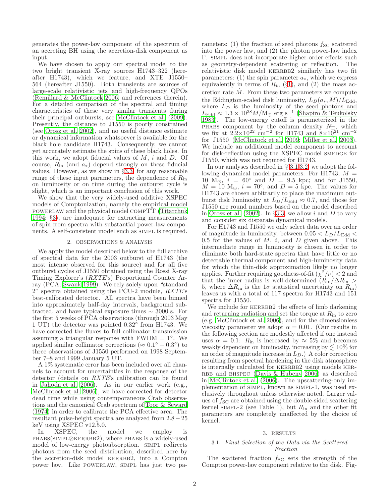generates the power-law component of the spectrum of an accreting BH using the accretion-disk component as input.

We have chosen to apply our spectral model to the two bright transient X-ray sources H1743–322 (hereafter H1743), which we feature, and XTE J1550– 564 (hereafter J1550). Both transients are sources of large-scale relativistic jets and high-frequency QPOs [\(Remillard & McClintock 2006,](#page-5-10) and references therein). For a detailed comparison of the spectral and timing characteristics of these very similar transients during their principal outbursts, see [McClintock et al. \(2009\)](#page-5-14). Presently, the distance to J1550 is poorly constrained (see [Orosz et al. 2002\)](#page-5-15), and no useful distance estimate or dynamical information whatsoever is available for the black hole candidate H1743. Consequently, we cannot yet accurately estimate the spins of these black holes. In this work, we adopt fiducial values of  $M$ ,  $i$  and  $D$ . Of course,  $R_{\text{in}}$  (and  $a_{*}$ ) depend strongly on these fiducial values. However, as we show in  $\S 3.3$ , for any reasonable range of these input parameters, the dependence of  $R_{\text{in}}$ on luminosity or on time during the outburst cycle is slight, which is an important conclusion of this work.

We show that the very widely-used additive XSPEC models of Comptonization, namely the empirical model powerlaw and the physical model compTT [\(Titarchuk](#page-5-16) [1994;](#page-5-16) §[3\)](#page-2-0), are inadequate for extracting measurements of spin from spectra with substantial power-law components. A self-consistent model such as SIMPL is required.

#### 2. OBSERVATIONS & ANALYSIS

<span id="page-2-2"></span>We apply the model described below to the full archive of spectral data for the 2003 outburst of H1743 (the most intense observed for this source) and for all five outburst cycles of J1550 obtained using the Rossi X-ray Timing Explorer's (RXTE's) Proportional Counter Array (PCA; [Swank 1999\)](#page-5-17). We rely solely upon "standard  $2$ " spectra obtained using the PCU-2 module,  $RXTE$ 's best-calibrated detector. All spectra have been binned into approximately half-day intervals, background subtracted, and have typical exposure times  $\sim 3000$  s. For the first 5 weeks of PCA observations (through 2003 May 1 UT) the detector was pointed  $0.32^{\circ}$  from H1743. We have corrected the fluxes to full collimator transmission assuming a triangular response with  $FWHM = 1°$ . We applied similar collimator corrections ( $\approx 0.1^{\circ} - 0.3^{\circ}$ ) to three observations of J1550 performed on 1998 September 7–8 and 1999 January 5 UT.

A 1% systematic error has been included over all channels to account for uncertainties in the response of the detector (details on RXTE's calibration can be found in [Jahoda et al. 2006\)](#page-5-18). As in our earlier work (e.g., [McClintock et al. 2006](#page-5-1)), we have corrected for detector dead time while using contemporaneous Crab observations and the canonical Crab spectrum of [Toor & Seward](#page-5-19) [\(1974\)](#page-5-19) in order to calibrate the PCA effective area. The resultant pulse-height spectra are analyzed from 2.8−25 keV using XSPEC v12.5.0.

In XSPEC, the model we employ is phabs(simpl⊗kerrbb2), where phabs is a widely-used model of low-energy photoabsorption. simpl redirects photons from the seed distribution, described here by the accretion-disk model KERRBB2, into a Compton power law. Like powerlaw, simpl has just two parameters: (1) the fraction of seed photons  $f_{SC}$  scattered into the power law, and (2) the photon power-law index Γ. simpl does not incorporate higher-order effects such as geometry-dependent scattering or reflection. The relativistic disk model KERRBB2 similarly has two fit parameters: (1) the spin parameter  $a_*$ , which we express equivalently in terms of  $R_{\text{in}}$  (§[1\)](#page-1-0), and (2) the mass accretion rate  $\dot{M}$ . From these two parameters we compute the Eddington-scaled disk luminosity,  $L_D(a_*, M)/L_{\text{Edd}}$ , where  $L_D$  is the luminosity of the seed photons and  $L_{\text{Edd}} \approx 1.3 \times 10^{38} M/\text{M}_{\odot}$  erg s<sup>-1</sup> [\(Shapiro & Teukolsky](#page-5-9) [1983\)](#page-5-9). The low-energy cutoff is parameterized in the PHABS component by the column density  $N_{\rm H}$ , which we fix at  $2.2 \times 10^{22}$  cm<sup>-2</sup> for H1743 and  $8 \times 10^{21}$  cm<sup>-2</sup> for J1550 [\(McClintock et al. 2009;](#page-5-14) [Miller et al. 2003](#page-5-20)). We include an additional model component to account for disk-reflection using the XSPEC model SMEDGE for J1550, which was not required for H1743.

In our analyses described in §§[3.1](#page-2-1)[,3.2,](#page-3-1) we adopt the following dynamical model parameters: For H1743,  $M =$ 10  $M_{\odot}$ ,  $i = 60^{\circ}$  and  $D = 9.5$  kpc; and for J1550,  $M = 10$  M<sub>☉</sub>,  $i = 70^{\circ}$ , and  $D = 5$  kpc. The values for H1743 are chosen arbitrarily to place the maximum outburst disk luminosity at  $L_D/L_{\text{Edd}} \approx 0.7$ , and those for J1550 are round numbers based on the model described in [Orosz et al. \(2002\)](#page-5-15). In §[3.3,](#page-3-0) we allow i and  $D$  to vary and consider six disparate dynamical models.

For H1743 and J1550 we only select data over an order of magnitude in luminosity, between  $0.05 < L_D/L_{\rm Edd} <$ 0.5 for the values of  $M$ ,  $i$ , and  $D$  given above. This intermediate range in luminosity is chosen in order to eliminate both hard-state spectra that have little or no detectable thermal component and high-luminosity data for which the thin-disk approximation likely no longer applies. Further requiring goodness-of-fit  $(\chi^2/\nu) < 2$  and that the inner radius is well-determined  $(R_{\text{in}}/\Delta R_{\text{in}} >$ 5, where  $\Delta R_{\rm in}$  is the 1 $\sigma$  statistical uncertainty on  $R_{\rm in}$ ) leaves us with a total of 117 spectra for H1743 and 151 spectra for J1550.

We include for KERRBB2 the effects of limb darkening and returning radiation and set the torque at  $R_{\text{in}}$  to zero (e.g, [McClintock et al. 2006\)](#page-5-1), and for the dimensionless viscosity parameter we adopt  $\alpha = 0.01$ . (Our results in the following section are modestly affected if one instead uses  $\alpha = 0.1$ :  $R_{\text{in}}$  is increased by  $\approx 5\%$  and becomes weakly dependent on luminosity, increasing by  $\lesssim 10\%$  for an order of magnitude increase in  $L_D$ .) A color correction resulting from spectral hardening in the disk atmosphere is internally calculated for KERRBB2 using models KER-RBB and BHSPEC (Davis  $&$  Hubeny 2006) as described in [McClintock et al. \(2006\)](#page-5-1). The upscattering-only implementation of simpl, known as simpl-1, was used exclusively throughout unless otherwise noted. Larger values of  $f_{SC}$  are obtained using the double-sided scattering kernel SIMPL-2 (see Table 1), but  $R_{\text{in}}$  and the other fit parameters are completely unaffected by the choice of kernel.

#### 3. RESULTS

### <span id="page-2-1"></span><span id="page-2-0"></span>3.1. Final Selection of the Data via the Scattered Fraction

The scattered fraction  $f_{SC}$  sets the strength of the Compton power-law component relative to the disk. Fig-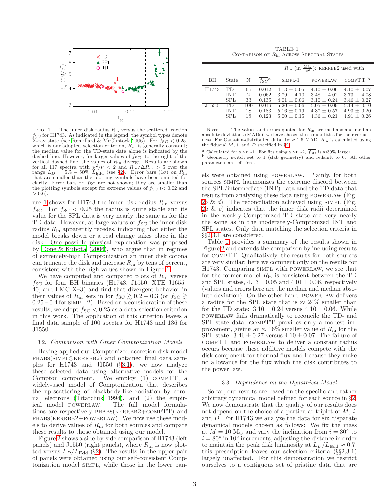

<span id="page-3-2"></span>FIG. 1.— The inner disk radius  $R_{\text{in}}$  versus the scattered fraction  $f_{SC}$  for H1743. As indicated in the legend, the symbol types denote X-ray state (see [Remillard & McClintock 2006\)](#page-5-10). For  $f_{\rm SC} < 0.25$ , which is our adopted selection criterion,  $R_{\text{in}}$  is generally constant; the median value for the TD-state data alone is indicated by the dashed line. However, for larger values of  $f_{SC}$ , to the right of the vertical dashed line, the values of  $R_{\rm in}$  diverge. Results are shown for all 117 spectra with  $\chi^2/\nu < 2$  and  $R_{\rm in}/\Delta R_{\rm in} > 5$  over the range  $L_D = 5\% - 50\% L_{\text{Edd}}$  (see §[2\)](#page-2-2). Error bars  $(1\sigma)$  on  $R_{\text{in}}$ that are smaller than the plotting symbols have been omitted for clarity. Error bars on  $f_{SC}$  are not shown; they are smaller than the plotting symbols except for extreme values of  $f_{SC}$  ( $< 0.02$  and  $> 0.6$ ).

ure [1](#page-3-2) shows for H1743 the inner disk radius  $R_{\rm in}$  versus  $f_{\rm SC}$ . For  $f_{\rm SC}$  < 0.25 the radius is quite stable and its value for the SPL data is very nearly the same as for the TD data. However, at large values of  $f_{SC}$  the inner disk radius  $R_{\rm in}$  apparently recedes, indicating that either the model breaks down or a real change takes place in the disk. One possible physical explanation was proposed by [Done & Kubota \(2006](#page-5-22)), who argue that in regimes of extremely-high Comptonization an inner disk corona can truncate the disk and increase  $R_{\rm in}$  by tens of percent, consistent with the high values shown in Figure [1.](#page-3-2)

We have computed and compared plots of  $R_{\rm in}$  versus  $f_{\rm SC}$  for four BH binaries (H1743, J1550, XTE J1655– 40, and LMC X–3) and find that divergent behavior in their values of  $R_{\rm in}$  sets in for  $f_{\rm SC} \gtrsim 0.2 - 0.3$  (or  $f_{\rm SC} \gtrsim$ 0.25−0.4 for simpl-2). Based on a consideration of these results, we adopt  $f_{\text{SC}} < 0.25$  as a data-selection criterion in this work. The application of this criterion leaves a final data sample of 100 spectra for H1743 and 136 for J1550.

### <span id="page-3-1"></span>3.2. Comparison with Other Comptonization Models

Having applied our Comptonized accretion disk model PHABS(SIMPL⊗KERRBB2) and obtained final data samples for H1743 and J1550 (§[3.1\)](#page-2-1), we now analyze these selected data using alternative models for the Compton component. We employ (1) compTT, a widely-used model of Comptonization that describes the up-scattering of blackbody-like radiation by coro-nal electrons [\(Titarchuk 1994\)](#page-5-16), and (2) the empirical model POWERLAW. The full model formula-The full model formulations are respectively  $PHABS(KERRBB2+COMPTT)$  and phabs(kerrbb2+powerlaw). We now use these models to derive values of  $R_{\text{in}}$  for both sources and compare these results to those obtained using our model.

Figure [2](#page-4-0) shows a side-by-side comparison of H1743 (left panels) and J1550 (right panels), where  $R_{\rm in}$  is now plotted versus  $L_D/L_{\text{Edd}}$  (§[2\)](#page-2-2). The results in the upper pair of panels were obtained using our self-consistent Comptonization model simpl, while those in the lower pan-

TABLE 1 COMPARISON OF  $R_{\text{in}}$  ACROSS SPECTRAL STATES

<span id="page-3-3"></span>

|                   |            |                             |                    | $R_{\text{in}}$ (in $\frac{GM}{c^2}$ ): KERRBB2 used with |                 |                     |
|-------------------|------------|-----------------------------|--------------------|-----------------------------------------------------------|-----------------|---------------------|
| BH                | State      | N                           | $f_{SC}^{\dagger}$ | $SIMPL-1$                                                 | <b>POWERLAW</b> | COMPTT <sup>b</sup> |
| H1743             | <b>TD</b>  | 65                          | 0.012              | $4.13 + 0.05$                                             | $4.10 \pm 0.06$ | $4.10 + 0.07$       |
|                   | <b>INT</b> | $\mathcal{D}_{\mathcal{L}}$ | 0.062              | $3.79 - 4.10$                                             | $3.48 - 4.02$   | $3.73 - 4.08$       |
|                   | SPL        | 33                          | 0.135              | $4.01 + 0.06$                                             | $3.10 + 0.24$   | $3.46 + 0.27$       |
| J <sub>1550</sub> | TD         | 100                         | 0.016              | $5.20 + 0.06$                                             | $5.05 + 0.09$   | $5.14 \pm 0.10$     |
|                   | <b>INT</b> | 18                          | 0.183              | $5.16 \pm 0.19$                                           | $4.37 + 0.57$   | $4.93 + 0.20$       |
|                   | SPL        | 18                          | 0.123              | $5.00 + 0.15$                                             | $4.36 + 0.21$   | $4.91 + 0.26$       |

NOTE.  $-$  The values and errors quoted for  $R_{\text{in}}$  are medians and median absolute deviations (MADs); we have chosen these quantities for their robustness. For Gaussian-distributed data,  $1\sigma \approx 1.5$  MAD.  $R_{\rm in}$  is calculated using the fiducial  $M$ ,  $i$ , and  $D$  specified in §[2.](#page-2-2)

<sup>a</sup> Calculated for SIMPL-1. For fits using SIMPL-2,  $\overline{f_{\text{SC}}}$  is  $\approx$ 30% larger. b Geometry switch set to 1 (slab geometry) and redshift to 0. All other parameters are left free.

els were obtained using powerlaw. Plainly, for both sources simpl harmonizes the extreme discord between the SPL/intermediate (INT) data and the TD data that results from analyzing these data using POWERLAW (Fig. [2](#page-4-0)b & d). The reconciliation achieved using SIMPL (Fig.  $2a \& c$  $2a \& c$ ) indicates that the inner disk radii determined in the weakly-Comptonized TD state are very nearly the same as in the moderately-Comptonized INT and SPL states. Only data matching the selection criteria in §§[2](#page-2-2)[,3.1](#page-2-1) are considered.

Table [1](#page-3-3) provides a summary of the results shown in Figure [2](#page-4-0) and extends the comparison by including results for compTT. Qualitatively, the results for both sources are very similar; here we comment only on the results for H1743. Comparing simpl with powerlaw, we see that for the former model  $R_{\rm in}$  is consistent between the TD and SPL states,  $4.13 \pm 0.05$  and  $4.01 \pm 0.06$ , respectively (values and errors here are the median and median absolute deviation). On the other hand, POWERLAW delivers a radius for the SPL state that is  $\approx 24\%$  smaller than for the TD state:  $3.10 \pm 0.24$  versus  $4.10 \pm 0.06$ . While powerlaw fails dramatically to reconcile the TD- and SPL-state data, compTT provides only a modest improvement, giving an  $\approx 16\%$  smaller value of  $R_{\rm in}$  for the SPL state:  $3.46 \pm 0.27$  versus  $4.10 \pm 0.07$ . The failure of compTT and powerlaw to deliver a constant radius occurs because these additive models compete with the disk component for thermal flux and because they make no allowance for the flux which the disk contributes to the power law.

#### 3.3. Dependence on the Dynamical Model

<span id="page-3-0"></span>So far, our results are based on the specific and rather arbitrary dynamical model defined for each source in §[2.](#page-2-2) We now demonstrate that the quality of our results does not depend on the choice of a particular triplet of  $M$ ,  $i$ , and D. For H1743 we analyze the data for six disparate dynamical models chosen as follows: We fix the mass at  $M = 10$  M<sub>☉</sub> and vary the inclination from  $i = 30^{\circ}$  to  $i = 80^{\circ}$  in  $10^{\circ}$  increments, adjusting the distance in order to maintain the peak disk luminosity at  $L_D/L_{\text{Edd}} \approx 0.7$ ; this prescription leaves our selection criteria (§§2,3.1) largely unaffected. For this demonstration we restrict ourselves to a contiguous set of pristine data that are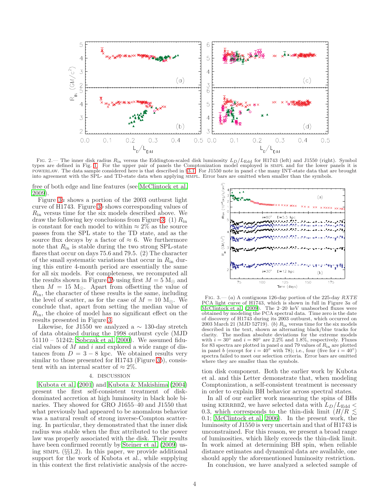

<span id="page-4-0"></span>FIG. 2.— The inner disk radius  $R_{\text{in}}$  versus the Eddington-scaled disk luminosity  $L_D/L_{\text{Edd}}$  for H1743 (left) and J1550 (right). Symbol types are defined in Fig. [1.](#page-3-2) For the upper pair of panels the Comptonization model employed is simpl and for the lower panels it is powerlaw. The data sample considered here is that described in §[3.1.](#page-2-1) For J1550 note in panel c the many INT-state data that are brought into agreement with the SPL- and TD-state data when applying simpl. Error bars are omitted when smaller than the symbols.

free of both edge and line features (see [McClintock et al.](#page-5-14) [2009\)](#page-5-14).

Figure [3](#page-4-1)a shows a portion of the 2003 outburst light curve of H1743. Figure [3](#page-4-1)b shows corresponding values of  $R_{\rm in}$  versus time for the six models described above. We draw the following key conclusions from Figure [3:](#page-4-1) (1)  $R_{\text{in}}$ is constant for each model to within  $\approx 2\%$  as the source passes from the SPL state to the TD state, and as the source flux decays by a factor of  $\approx 6$ . We furthermore note that  $R_{\rm in}$  is stable during the two strong SPL-state flares that occur on days 75.6 and 79.5. (2) The character of the small systematic variations that occur in  $R_{\text{in}}$  during this entire 4-month period are essentially the same for all six models. For completeness, we recomputed all the results shown in Figure [3](#page-4-1)b using first  $M = 5$  M<sub> $\odot$ </sub> and then  $M = 15$  M<sub>☉</sub>. Apart from offsetting the value of  $R_{\rm in}$ , the character of these results is the same, including the level of scatter, as for the case of  $M = 10$  M<sub> $\odot$ </sub>. We conclude that, apart from setting the median value of  $R_{\rm in}$ , the choice of model has no significant effect on the results presented in Figure [3.](#page-4-1)

Likewise, for J1550 we analyzed a  $\sim$  130-day stretch of data obtained during the 1998 outburst cycle (MJD 51110 – 51242; [Sobczak et al. 2000\)](#page-5-23). We assumed fiducial values of  $M$  and  $i$  and explored a wide range of distances from  $D = 3 - 8$  kpc. We obtained results very similar to those presented for H1743 (Figure [3](#page-4-1)b), consistent with an internal scatter of  $\approx 2\%$ .

#### 4. DISCUSSION

[Kubota et al. \(2001\)](#page-5-24) and [Kubota & Makishima \(2004](#page-5-25)) present the first self-consistent treatment of diskdominated accretion at high luminosity in black hole binaries. They showed for GRO J1655–40 and J1550 that what previously had appeared to be anomalous behavior was a natural result of strong inverse-Compton scattering. In particular, they demonstrated that the inner disk radius was stable when the flux attributed to the power law was properly associated with the disk. Their results have been confirmed recently by [Steiner et al. \(2009\)](#page-5-12) using  $SIMPL$  ( $\S\S1,2$ ). In this paper, we provide additional support for the work of Kubota et al., while supplying in this context the first relativistic analysis of the accre-



<span id="page-4-1"></span>FIG. 3.— (a) A contiguous 126-day portion of the 225-day  $RXTE$ PCA light curve of H1743, which is shown in full in Figure 3a of [McClintock et al. \(2009](#page-5-14)). The 2–20 keV unabsorbed fluxes were obtained by modeling the PCA spectral data. Time zero is the date of discovery of H1743 during its 2003 outburst, which occurred on 2003 March 21 (MJD 52719). (b)  $R_{\text{in}}$  versus time for the six models described in the text, shown as alternating black/blue tracks for clarity. The median absolute deviations for the extreme models with  $i = 30^{\circ}$  and  $i = 80^{\circ}$  are 2.2% and 1.8%, respectively. Fluxes for 83 spectra are plotted in panel a and 79 values of  $R_{\rm in}$  are plotted in panel b (except for  $i = 40^\circ$  with 78); i.e., four (five for  $i = 40^\circ$ ) spectra failed to meet our selection criteria. Error bars are omitted where they are smaller than the symbols.

tion disk component. Both the earlier work by Kubota et al. and this Letter demonstrate that, when modeling Comptonization, a self-consistent treatment is necessary in order to explain BH behavior across spectral states.

In all of our earlier work measuring the spins of BHs using KERRBB2, we have selected data with  $L_D/L_{\rm Edd}$ 0.3, which corresponds to the thin-disk limit ( $H/R \lesssim$ 0.1; [McClintock et al. 2006\)](#page-5-1). In the present work, the luminosity of J1550 is very uncertain and that of H1743 is unconstrained. For this reason, we present a broad range of luminosities, which likely exceeds the thin-disk limit. In work aimed at determining BH spin, when reliable distance estimates and dynamical data are available, one should apply the aforementioned luminosity restriction.

In conclusion, we have analyzed a selected sample of